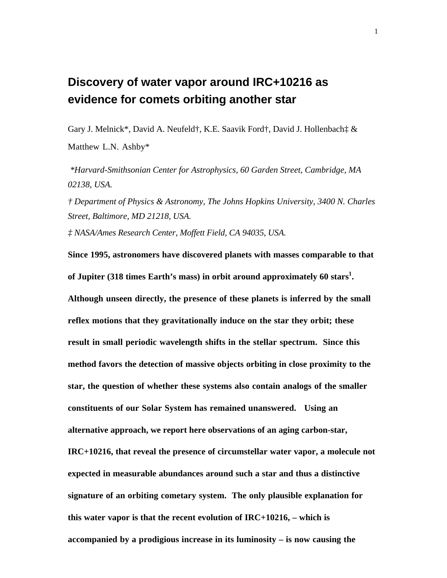## **Discovery of water vapor around IRC+10216 as evidence for comets orbiting another star**

Gary J. Melnick\*, David A. Neufeld†, K.E. Saavik Ford†, David J. Hollenbach‡ & Matthew L.N. Ashby\*

 *\*Harvard-Smithsonian Center for Astrophysics, 60 Garden Street, Cambridge, MA 02138, USA.*

*† Department of Physics & Astronomy, The Johns Hopkins University, 3400 N. Charles Street, Baltimore, MD 21218, USA.*

*‡ NASA/Ames Research Center, Moffett Field, CA 94035, USA.*

**Since 1995, astronomers have discovered planets with masses comparable to that of Jupiter (318 times Earth's mass) in orbit around approximately 60 stars<sup>1</sup> . Although unseen directly, the presence of these planets is inferred by the small reflex motions that they gravitationally induce on the star they orbit; these result in small periodic wavelength shifts in the stellar spectrum. Since this method favors the detection of massive objects orbiting in close proximity to the star, the question of whether these systems also contain analogs of the smaller constituents of our Solar System has remained unanswered. Using an alternative approach, we report here observations of an aging carbon-star, IRC+10216, that reveal the presence of circumstellar water vapor, a molecule not expected in measurable abundances around such a star and thus a distinctive signature of an orbiting cometary system. The only plausible explanation for this water vapor is that the recent evolution of IRC+10216, – which is accompanied by a prodigious increase in its luminosity – is now causing the**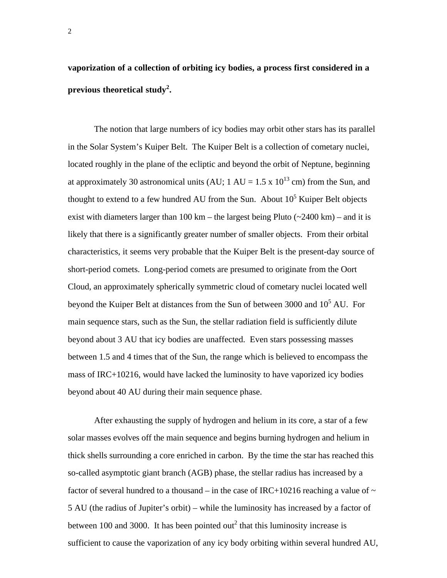**vaporization of a collection of orbiting icy bodies, a process first considered in a previous theoretical study<sup>2</sup> .**

The notion that large numbers of icy bodies may orbit other stars has its parallel in the Solar System's Kuiper Belt. The Kuiper Belt is a collection of cometary nuclei, located roughly in the plane of the ecliptic and beyond the orbit of Neptune, beginning at approximately 30 astronomical units (AU;  $1 \text{ AU} = 1.5 \times 10^{13} \text{ cm}$ ) from the Sun, and thought to extend to a few hundred AU from the Sun. About  $10<sup>5</sup>$  Kuiper Belt objects exist with diameters larger than 100 km – the largest being Pluto  $\left(\frac{2400 \text{ km}}{2400 \text{ km}}\right)$  – and it is likely that there is a significantly greater number of smaller objects. From their orbital characteristics, it seems very probable that the Kuiper Belt is the present-day source of short-period comets. Long-period comets are presumed to originate from the Oort Cloud, an approximately spherically symmetric cloud of cometary nuclei located well beyond the Kuiper Belt at distances from the Sun of between 3000 and  $10^5$  AU. For main sequence stars, such as the Sun, the stellar radiation field is sufficiently dilute beyond about 3 AU that icy bodies are unaffected. Even stars possessing masses between 1.5 and 4 times that of the Sun, the range which is believed to encompass the mass of IRC+10216, would have lacked the luminosity to have vaporized icy bodies beyond about 40 AU during their main sequence phase.

After exhausting the supply of hydrogen and helium in its core, a star of a few solar masses evolves off the main sequence and begins burning hydrogen and helium in thick shells surrounding a core enriched in carbon. By the time the star has reached this so-called asymptotic giant branch (AGB) phase, the stellar radius has increased by a factor of several hundred to a thousand – in the case of IRC+10216 reaching a value of  $\sim$ 5 AU (the radius of Jupiter's orbit) – while the luminosity has increased by a factor of between 100 and 3000. It has been pointed out<sup>2</sup> that this luminosity increase is sufficient to cause the vaporization of any icy body orbiting within several hundred AU,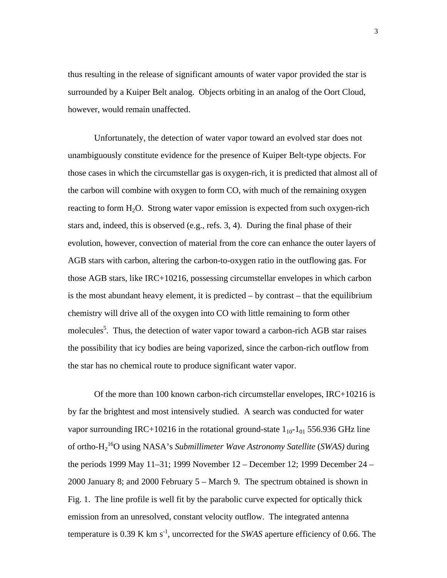thus resulting in the release of significant amounts of water vapor provided the star is surrounded by a Kuiper Belt analog. Objects orbiting in an analog of the Oort Cloud, however, would remain unaffected.

Unfortunately, the detection of water vapor toward an evolved star does not unambiguously constitute evidence for the presence of Kuiper Belt-type objects. For those cases in which the circumstellar gas is oxygen-rich, it is predicted that almost all of the carbon will combine with oxygen to form CO, with much of the remaining oxygen reacting to form  $H_2O$ . Strong water vapor emission is expected from such oxygen-rich stars and, indeed, this is observed (e.g., refs. 3, 4). During the final phase of their evolution, however, convection of material from the core can enhance the outer layers of AGB stars with carbon, altering the carbon-to-oxygen ratio in the outflowing gas. For those AGB stars, like IRC+10216, possessing circumstellar envelopes in which carbon is the most abundant heavy element, it is predicted  $-$  by contrast  $-$  that the equilibrium chemistry will drive all of the oxygen into CO with little remaining to form other molecules<sup>5</sup>. Thus, the detection of water vapor toward a carbon-rich AGB star raises the possibility that icy bodies are being vaporized, since the carbon-rich outflow from the star has no chemical route to produce significant water vapor.

Of the more than 100 known carbon-rich circumstellar envelopes, IRC+10216 is by far the brightest and most intensively studied. A search was conducted for water vapor surrounding IRC+10216 in the rotational ground-state  $1_{10}$ - $1_{01}$  556.936 GHz line of ortho-H2 16O using NASA's *Submillimeter Wave Astronomy Satellite* (*SWAS)* during the periods 1999 May 11–31; 1999 November 12 – December 12; 1999 December 24 – 2000 January 8; and 2000 February 5 – March 9. The spectrum obtained is shown in Fig. 1. The line profile is well fit by the parabolic curve expected for optically thick emission from an unresolved, constant velocity outflow. The integrated antenna temperature is 0.39 K km s<sup>-1</sup>, uncorrected for the *SWAS* aperture efficiency of 0.66. The

3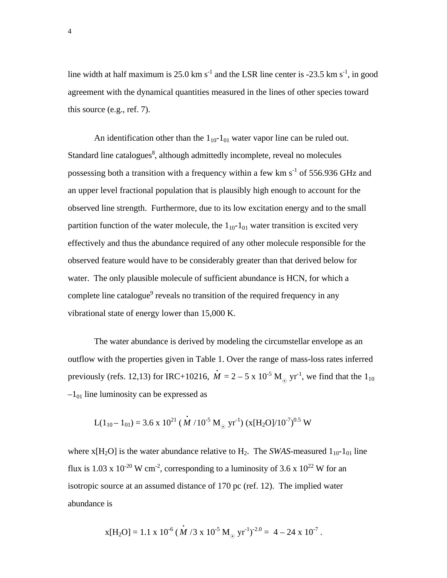line width at half maximum is 25.0 km  $s^{-1}$  and the LSR line center is -23.5 km  $s^{-1}$ , in good agreement with the dynamical quantities measured in the lines of other species toward this source (e.g., ref. 7).

An identification other than the  $1_{10} - 1_{01}$  water vapor line can be ruled out. Standard line catalogues $\delta$ , although admittedly incomplete, reveal no molecules possessing both a transition with a frequency within a few km  $s^{-1}$  of 556.936 GHz and an upper level fractional population that is plausibly high enough to account for the observed line strength. Furthermore, due to its low excitation energy and to the small partition function of the water molecule, the  $1_{10}$ - $1_{01}$  water transition is excited very effectively and thus the abundance required of any other molecule responsible for the observed feature would have to be considerably greater than that derived below for water. The only plausible molecule of sufficient abundance is HCN, for which a complete line catalogue<sup>9</sup> reveals no transition of the required frequency in any vibrational state of energy lower than 15,000 K.

The water abundance is derived by modeling the circumstellar envelope as an outflow with the properties given in Table 1. Over the range of mass-loss rates inferred previously (refs. 12,13) for IRC+10216,  $\dot{M} = 2 - 5 \times 10^{-5} M_{\odot}$  yr<sup>-1</sup>, we find that the 1<sub>10</sub>  $-1<sub>01</sub>$  line luminosity can be expressed as

$$
L(1_{10} - 1_{01}) = 3.6 \times 10^{21} (\dot{M} / 10^{-5} M_{\odot} yr^{-1}) (x[H_2O] / 10^{-7})^{0.5} W
$$

where  $x[H_2O]$  is the water abundance relative to  $H_2$ . The *SWAS*-measured  $1_{10}$ - $1_{01}$  line flux is 1.03 x  $10^{-20}$  W cm<sup>-2</sup>, corresponding to a luminosity of 3.6 x  $10^{22}$  W for an isotropic source at an assumed distance of 170 pc (ref. 12). The implied water abundance is

$$
x[H_2O] = 1.1 \times 10^{-6} (\dot{M} / 3 \times 10^{-5} M_{\odot} yr^{-1})^{-2.0} = 4 - 24 \times 10^{-7}.
$$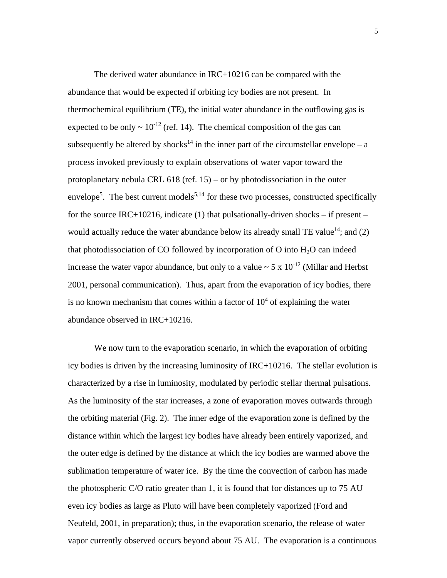The derived water abundance in IRC+10216 can be compared with the abundance that would be expected if orbiting icy bodies are not present. In thermochemical equilibrium (TE), the initial water abundance in the outflowing gas is expected to be only  $\sim 10^{-12}$  (ref. 14). The chemical composition of the gas can subsequently be altered by shocks<sup>14</sup> in the inner part of the circumstellar envelope – a process invoked previously to explain observations of water vapor toward the protoplanetary nebula CRL 618 (ref. 15) – or by photodissociation in the outer envelope<sup>5</sup>. The best current models<sup>5,14</sup> for these two processes, constructed specifically for the source IRC+10216, indicate (1) that pulsationally-driven shocks – if present – would actually reduce the water abundance below its already small TE value<sup>14</sup>; and (2) that photodissociation of CO followed by incorporation of O into  $H_2O$  can indeed increase the water vapor abundance, but only to a value  $\sim 5 \times 10^{-12}$  (Millar and Herbst 2001, personal communication). Thus, apart from the evaporation of icy bodies, there is no known mechanism that comes within a factor of  $10<sup>4</sup>$  of explaining the water abundance observed in IRC+10216.

We now turn to the evaporation scenario, in which the evaporation of orbiting icy bodies is driven by the increasing luminosity of IRC+10216. The stellar evolution is characterized by a rise in luminosity, modulated by periodic stellar thermal pulsations. As the luminosity of the star increases, a zone of evaporation moves outwards through the orbiting material (Fig. 2). The inner edge of the evaporation zone is defined by the distance within which the largest icy bodies have already been entirely vaporized, and the outer edge is defined by the distance at which the icy bodies are warmed above the sublimation temperature of water ice. By the time the convection of carbon has made the photospheric C/O ratio greater than 1, it is found that for distances up to 75 AU even icy bodies as large as Pluto will have been completely vaporized (Ford and Neufeld, 2001, in preparation); thus, in the evaporation scenario, the release of water vapor currently observed occurs beyond about 75 AU. The evaporation is a continuous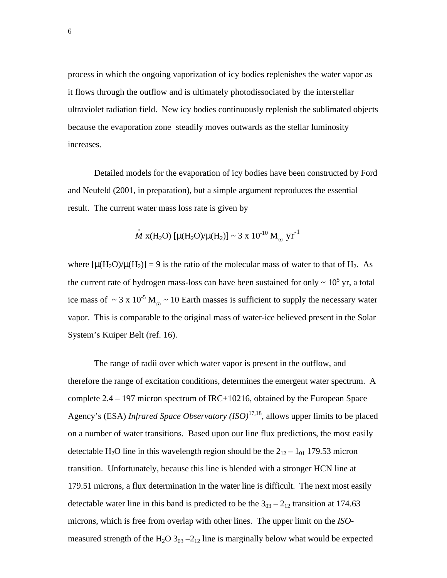process in which the ongoing vaporization of icy bodies replenishes the water vapor as it flows through the outflow and is ultimately photodissociated by the interstellar ultraviolet radiation field. New icy bodies continuously replenish the sublimated objects because the evaporation zone steadily moves outwards as the stellar luminosity increases.

Detailed models for the evaporation of icy bodies have been constructed by Ford and Neufeld (2001, in preparation), but a simple argument reproduces the essential result. The current water mass loss rate is given by

$$
\dot{M} \text{ x(H2O) } [\mu(H_2O)/\mu(H_2)] \sim 3 \text{ x } 10^{-10} \text{ M}_{\odot} \text{ yr}^{-1}
$$

where  $[\mu(H_2O)/\mu(H_2)] = 9$  is the ratio of the molecular mass of water to that of H<sub>2</sub>. As the current rate of hydrogen mass-loss can have been sustained for only  $\sim 10^5$  yr, a total ice mass of ~ 3 x 10<sup>-5</sup> M<sub>\o </sub>~ 10 Earth masses is sufficient to supply the necessary water vapor. This is comparable to the original mass of water-ice believed present in the Solar System's Kuiper Belt (ref. 16).

The range of radii over which water vapor is present in the outflow, and therefore the range of excitation conditions, determines the emergent water spectrum. A complete 2.4 – 197 micron spectrum of IRC+10216, obtained by the European Space Agency's (ESA) *Infrared Space Observatory (ISO)*17,18, allows upper limits to be placed on a number of water transitions. Based upon our line flux predictions, the most easily detectable H<sub>2</sub>O line in this wavelength region should be the  $2_{12} - 1_{01}$  179.53 micron transition. Unfortunately, because this line is blended with a stronger HCN line at 179.51 microns, a flux determination in the water line is difficult. The next most easily detectable water line in this band is predicted to be the  $3_{03} - 2_{12}$  transition at 174.63 microns, which is free from overlap with other lines. The upper limit on the *ISO*measured strength of the H<sub>2</sub>O 3<sub>03</sub> –2<sub>12</sub> line is marginally below what would be expected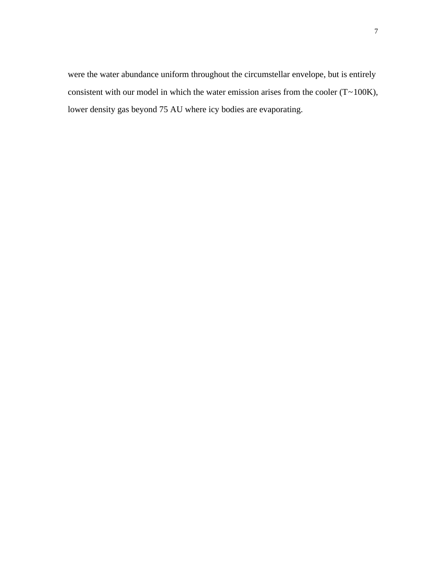were the water abundance uniform throughout the circumstellar envelope, but is entirely consistent with our model in which the water emission arises from the cooler  $(T \sim 100K)$ , lower density gas beyond 75 AU where icy bodies are evaporating.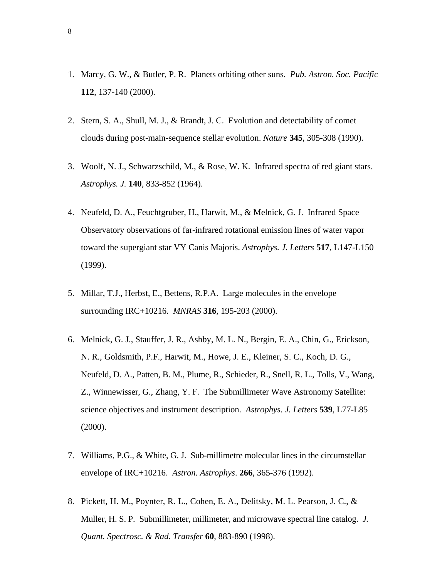- 1. Marcy, G. W., & Butler, P. R. Planets orbiting other suns*. Pub. Astron. Soc. Pacific* **112**, 137-140 (2000).
- 2. Stern, S. A., Shull, M. J., & Brandt, J. C. Evolution and detectability of comet clouds during post-main-sequence stellar evolution. *Nature* **345**, 305-308 (1990).
- 3. Woolf, N. J., Schwarzschild, M., & Rose, W. K. Infrared spectra of red giant stars. *Astrophys. J.* **140**, 833-852 (1964).
- 4. Neufeld, D. A., Feuchtgruber, H., Harwit, M., & Melnick, G. J. Infrared Space Observatory observations of far-infrared rotational emission lines of water vapor toward the supergiant star VY Canis Majoris. *Astrophys. J. Letters* **517**, L147-L150 (1999).
- 5. Millar, T.J., Herbst, E., Bettens, R.P.A. Large molecules in the envelope surrounding IRC+10216. *MNRAS* **316***,* 195-203 (2000).
- 6. Melnick, G. J., Stauffer, J. R., Ashby, M. L. N., Bergin, E. A., Chin, G., Erickson, N. R., Goldsmith, P.F., Harwit, M., Howe, J. E., Kleiner, S. C., Koch, D. G., Neufeld, D. A., Patten, B. M., Plume, R., Schieder, R., Snell, R. L., Tolls, V., Wang, Z., Winnewisser, G., Zhang, Y. F. The Submillimeter Wave Astronomy Satellite: science objectives and instrument description. *Astrophys. J. Letters* **539**, L77-L85 (2000).
- 7. Williams, P.G., & White, G. J. Sub-millimetre molecular lines in the circumstellar envelope of IRC+10216. *Astron. Astrophys*. **266**, 365-376 (1992).
- 8. Pickett, H. M., Poynter, R. L., Cohen, E. A., Delitsky, M. L. Pearson, J. C., & Muller, H. S. P. Submillimeter, millimeter, and microwave spectral line catalog. *J. Quant. Spectrosc. & Rad. Transfer* **60**, 883-890 (1998).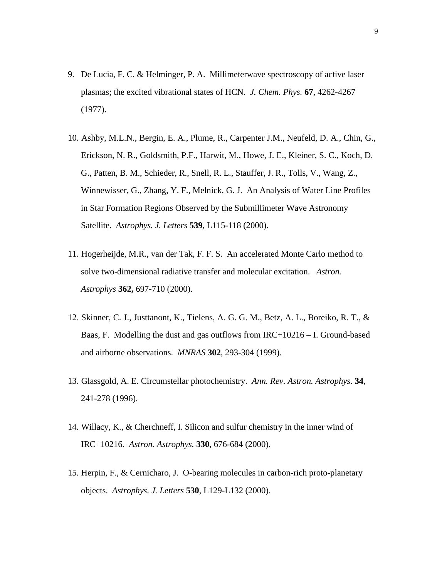- 9. De Lucia, F. C. & Helminger, P. A. Millimeterwave spectroscopy of active laser plasmas; the excited vibrational states of HCN. *J. Chem. Phys.* **67**, 4262-4267 (1977).
- 10. Ashby, M.L.N., Bergin, E. A., Plume, R., Carpenter J.M., Neufeld, D. A., Chin, G., Erickson, N. R., Goldsmith, P.F., Harwit, M., Howe, J. E., Kleiner, S. C., Koch, D. G., Patten, B. M., Schieder, R., Snell, R. L., Stauffer, J. R., Tolls, V., Wang, Z., Winnewisser, G., Zhang, Y. F., Melnick, G. J. An Analysis of Water Line Profiles in Star Formation Regions Observed by the Submillimeter Wave Astronomy Satellite. *Astrophys. J. Letters* **539**, L115-118 (2000).
- 11. Hogerheijde, M.R., van der Tak, F. F. S. An accelerated Monte Carlo method to solve two-dimensional radiative transfer and molecular excitation. *Astron. Astrophys* **362,** 697-710 (2000).
- 12. Skinner, C. J., Justtanont, K., Tielens, A. G. G. M., Betz, A. L., Boreiko, R. T., & Baas, F. Modelling the dust and gas outflows from IRC+10216 – I. Ground-based and airborne observations. *MNRAS* **302**, 293-304 (1999).
- 13. Glassgold, A. E. Circumstellar photochemistry. *Ann. Rev. Astron. Astrophys*. **34**, 241-278 (1996).
- 14. Willacy, K., & Cherchneff, I. Silicon and sulfur chemistry in the inner wind of IRC+10216*. Astron. Astrophys.* **330**, 676-684 (2000).
- 15. Herpin, F., & Cernicharo, J. O-bearing molecules in carbon-rich proto-planetary objects. *Astrophys. J. Letters* **530**, L129-L132 (2000).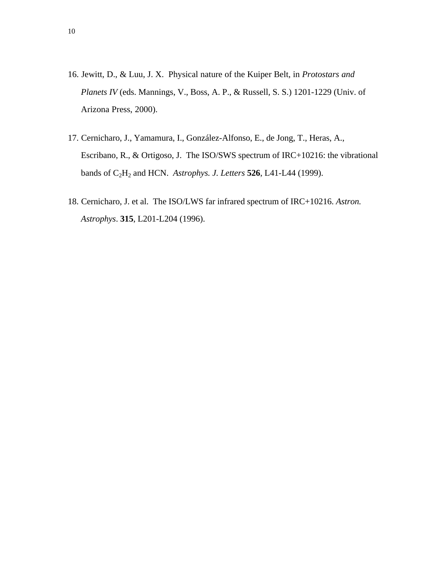- 16. Jewitt, D., & Luu, J. X. Physical nature of the Kuiper Belt, in *Protostars and Planets IV* (eds. Mannings, V., Boss, A. P., & Russell, S. S.) 1201-1229 (Univ. of Arizona Press, 2000).
- 17. Cernicharo, J., Yamamura, I., González-Alfonso, E., de Jong, T., Heras, A., Escribano, R., & Ortigoso, J. The ISO/SWS spectrum of IRC+10216: the vibrational bands of C2H2 and HCN. *Astrophys. J. Letters* **526**, L41-L44 (1999).
- 18. Cernicharo, J. et al. The ISO/LWS far infrared spectrum of IRC+10216. *Astron. Astrophys*. **315**, L201-L204 (1996).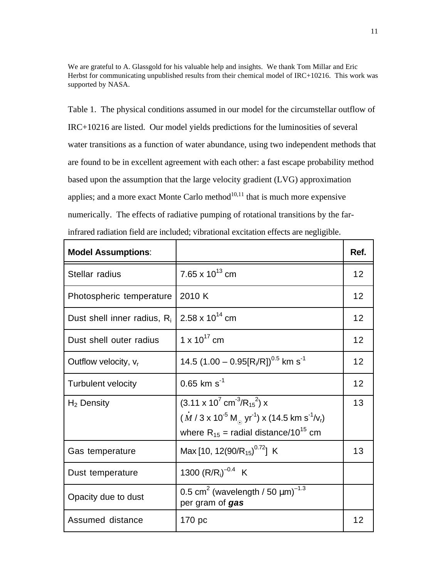We are grateful to A. Glassgold for his valuable help and insights. We thank Tom Millar and Eric Herbst for communicating unpublished results from their chemical model of IRC+10216. This work was supported by NASA.

Table 1. The physical conditions assumed in our model for the circumstellar outflow of IRC+10216 are listed. Our model yields predictions for the luminosities of several water transitions as a function of water abundance, using two independent methods that are found to be in excellent agreement with each other: a fast escape probability method based upon the assumption that the large velocity gradient (LVG) approximation applies; and a more exact Monte Carlo method $10,11$  that is much more expensive numerically. The effects of radiative pumping of rotational transitions by the farinfrared radiation field are included; vibrational excitation effects are negligible.

| <b>Model Assumptions:</b>      |                                                                                                                                                                                                                            | Ref. |
|--------------------------------|----------------------------------------------------------------------------------------------------------------------------------------------------------------------------------------------------------------------------|------|
| Stellar radius                 | 7.65 x $10^{13}$ cm                                                                                                                                                                                                        | 12   |
| Photospheric temperature       | 2010 K                                                                                                                                                                                                                     | 12   |
| Dust shell inner radius, $R_i$ | 2.58 x $10^{14}$ cm                                                                                                                                                                                                        | 12   |
| Dust shell outer radius        | 1 x $10^{17}$ cm                                                                                                                                                                                                           | 12   |
| Outflow velocity, $v_r$        | 14.5 $(1.00 - 0.95[R_i/R])^{0.5}$ km s <sup>-1</sup>                                                                                                                                                                       | 12   |
| <b>Turbulent velocity</b>      | $0.65$ km s <sup>-1</sup>                                                                                                                                                                                                  | 12   |
| $H_2$ Density                  | $(3.11 \times 10^{7} \text{ cm}^{-3}/\text{R}_{15}^{2}) \times$<br>$(M/3 \times 10^{-5} M_{\odot} \text{ yr}^{-1}) \times (14.5 \text{ km s}^{-1} / \text{V}_{r})$<br>where $R_{15}$ = radial distance/10 <sup>15</sup> cm | 13   |
| Gas temperature                | Max [10, 12(90/R <sub>15</sub> ) <sup>0.72</sup> ] K                                                                                                                                                                       | 13   |
| Dust temperature               | 1300 $(R/R_i)^{-0.4}$ K                                                                                                                                                                                                    |      |
| Opacity due to dust            | 0.5 cm <sup>2</sup> (wavelength / 50 $\mu$ m) <sup>-1.3</sup><br>per gram of gas                                                                                                                                           |      |
| Assumed distance               | 170 pc                                                                                                                                                                                                                     | 12   |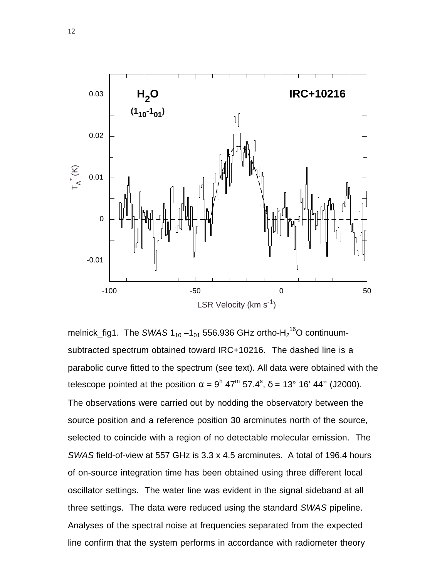

melnick\_fig1. The SWAS 1<sub>10</sub> –1<sub>01</sub> 556.936 GHz ortho-H $_2$ <sup>16</sup>O continuumsubtracted spectrum obtained toward IRC+10216. The dashed line is a parabolic curve fitted to the spectrum (see text). All data were obtained with the telescope pointed at the position  $\alpha = 9^{\sf h}$  47<sup>m</sup> 57.4<sup>s</sup>, δ = 13° 16' 44" (J2000). The observations were carried out by nodding the observatory between the source position and a reference position 30 arcminutes north of the source, selected to coincide with a region of no detectable molecular emission. The *SWAS* field-of-view at 557 GHz is 3.3 x 4.5 arcminutes. A total of 196.4 hours of on-source integration time has been obtained using three different local oscillator settings. The water line was evident in the signal sideband at all three settings. The data were reduced using the standard *SWAS* pipeline. Analyses of the spectral noise at frequencies separated from the expected line confirm that the system performs in accordance with radiometer theory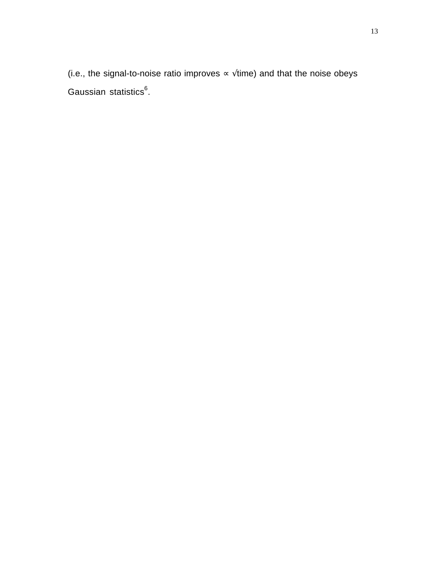(i.e., the signal-to-noise ratio improves  $\propto \sqrt{t}$ ime) and that the noise obeys Gaussian statistics<sup>6</sup>.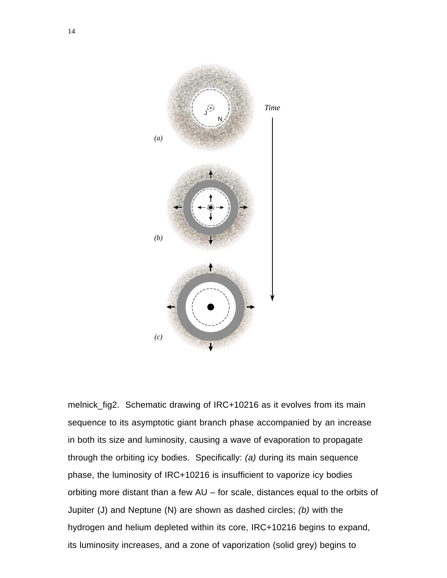

melnick\_fig2. Schematic drawing of IRC+10216 as it evolves from its main sequence to its asymptotic giant branch phase accompanied by an increase in both its size and luminosity, causing a wave of evaporation to propagate through the orbiting icy bodies. Specifically: *(a)* during its main sequence phase, the luminosity of IRC+10216 is insufficient to vaporize icy bodies orbiting more distant than a few AU – for scale, distances equal to the orbits of Jupiter (J) and Neptune (N) are shown as dashed circles; *(b)* with the hydrogen and helium depleted within its core, IRC+10216 begins to expand, its luminosity increases, and a zone of vaporization (solid grey) begins to